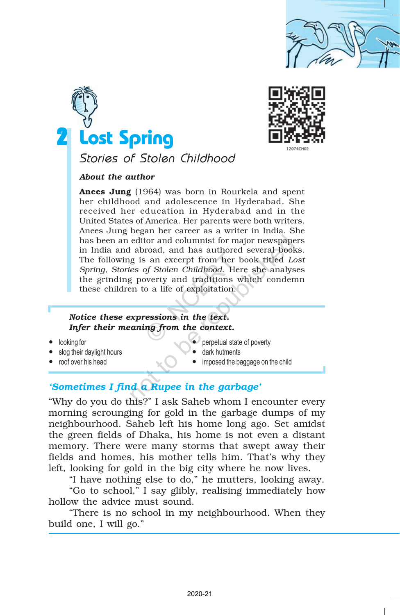





# Stories of Stolen Childhood

*About the author*

Anees Jung (1964) was born in Rourkela and spent her childhood and adolescence in Hyderabad. She received her education in Hyderabad and in the United States of America. Her parents were both writers. Anees Jung began her career as a writer in India. She has been an editor and columnist for major newspapers in India and abroad, and has authored several books. The following is an excerpt from her book titled *Lost Spring, Stories of Stolen Childhood*. Here she analyses the grinding poverty and traditions which condemn these children to a life of exploitation. editor and columnist for major newspape<br>
l abroad, and has authored several bool<br>
g is an excerpt from her book titled Le<br>
es of Stolen Childhood. Here she analys<br>
g poverty and traditions which conder<br>
en to a life of exp

## *Notice these expressions in the text. Infer their meaning from the context.*

- 
- slog their daylight hours **dark hutments**
- 
- looking for **perpetual state of poverty** 
	-
	- roof over his head **imposed the baggage on the child**

## *'Sometimes I find a Rupee in the garbage'*

"Why do you do this?" I ask Saheb whom I encounter every morning scrounging for gold in the garbage dumps of my neighbourhood. Saheb left his home long ago. Set amidst the green fields of Dhaka, his home is not even a distant memory. There were many storms that swept away their fields and homes, his mother tells him. That's why they left, looking for gold in the big city where he now lives. From the dimensional control of Stolen Childhood. Here they for the context of Stolen Childhood. Here werty and traditions wo a life of exploitation.<br> **Example 19.4** Control of the star of the context.<br> **Example 19.4** Cont

"I have nothing else to do," he mutters, looking away.

"Go to school," I say glibly, realising immediately how hollow the advice must sound.

"There is no school in my neighbourhood. When they build one, I will go."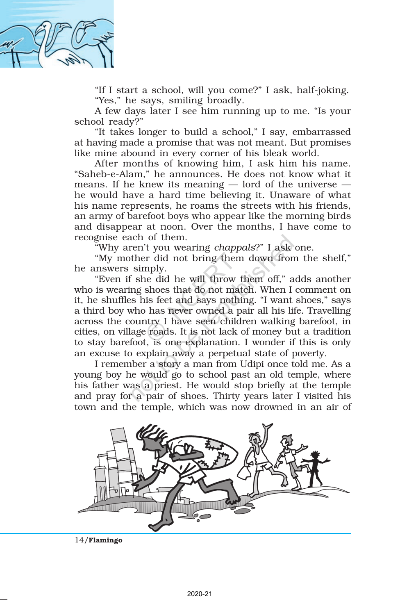

"If I start a school, will you come?" I ask, half-joking. "Yes," he says, smiling broadly.

A few days later I see him running up to me. "Is your school ready?"

"It takes longer to build a school," I say, embarrassed at having made a promise that was not meant. But promises like mine abound in every corner of his bleak world.

After months of knowing him, I ask him his name. "Saheb-e-Alam," he announces. He does not know what it means. If he knew its meaning — lord of the universe he would have a hard time believing it. Unaware of what his name represents, he roams the streets with his friends, an army of barefoot boys who appear like the morning birds and disappear at noon. Over the months, I have come to recognise each of them.

"Why aren't you wearing *chappals*?" I ask one.

"My mother did not bring them down from the shelf," he answers simply.

"Even if she did he will throw them off," adds another who is wearing shoes that do not match. When I comment on it, he shuffles his feet and says nothing. "I want shoes," says a third boy who has never owned a pair all his life. Travelling across the country I have seen children walking barefoot, in cities, on village roads. It is not lack of money but a tradition to stay barefoot, is one explanation. I wonder if this is only an excuse to explain away a perpetual state of poverty. ach of them.<br>
ren't you wearing *chappals*?" I ask<br>
ther did not bring them down fron<br>
simply.<br>
f she did he will throw them off," a<br>
ng shoes that do not match. When I<br>
es his feet and says nothing. "I want<br>
who has never

I remember a story a man from Udipi once told me. As a young boy he would go to school past an old temple, where his father was a priest. He would stop briefly at the temple and pray for a pair of shoes. Thirty years later I visited his town and the temple, which was now drowned in an air of

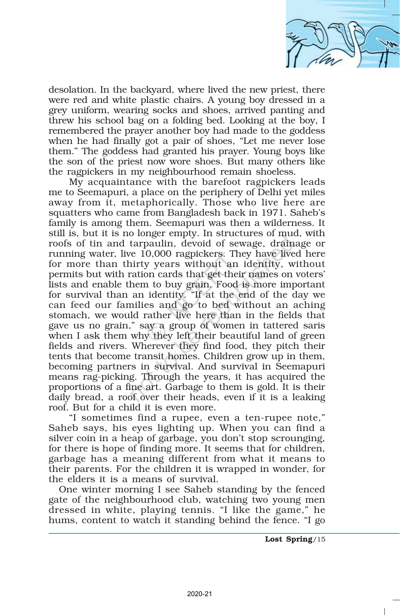

desolation. In the backyard, where lived the new priest, there were red and white plastic chairs. A young boy dressed in a grey uniform, wearing socks and shoes, arrived panting and threw his school bag on a folding bed. Looking at the boy, I remembered the prayer another boy had made to the goddess when he had finally got a pair of shoes, "Let me never lose them." The goddess had granted his prayer. Young boys like the son of the priest now wore shoes. But many others like the ragpickers in my neighbourhood remain shoeless.

My acquaintance with the barefoot ragpickers leads me to Seemapuri, a place on the periphery of Delhi yet miles away from it, metaphorically. Those who live here are squatters who came from Bangladesh back in 1971. Saheb's family is among them. Seemapuri was then a wilderness. It still is, but it is no longer empty. In structures of mud, with roofs of tin and tarpaulin, devoid of sewage, drainage or running water, live 10,000 ragpickers. They have lived here for more than thirty years without an identity, without permits but with ration cards that get their names on voters' lists and enable them to buy grain. Food is more important for survival than an identity. "If at the end of the day we can feed our families and go to bed without an aching stomach, we would rather live here than in the fields that gave us no grain," say a group of women in tattered saris when I ask them why they left their beautiful land of green fields and rivers. Wherever they find food, they pitch their tents that become transit homes. Children grow up in them, becoming partners in survival. And survival in Seemapuri means rag-picking. Through the years, it has acquired the proportions of a fine art. Garbage to them is gold. It is their daily bread, a roof over their heads, even if it is a leaking roof. But for a child it is even more. 0,000 ragpickers. The y years without an on cards that get their n to buy grain, Food identity. "If at the es and go to bed w rather live here than ay a group of womer y they left their beau nerever they find food ansit ho o longer empty. In structures of meta-<br>tarpaulin, devoid of sewage, drain<br>ve 10,000 ragpickers. They have live<br>irty years without an identity, w<br>ration cards that get their names on<br>hem to buy grain. Food is more imp<br>an id

"I sometimes find a rupee, even a ten-rupee note," Saheb says, his eyes lighting up. When you can find a silver coin in a heap of garbage, you don't stop scrounging, for there is hope of finding more. It seems that for children, garbage has a meaning different from what it means to their parents. For the children it is wrapped in wonder, for the elders it is a means of survival.

One winter morning I see Saheb standing by the fenced gate of the neighbourhood club, watching two young men dressed in white, playing tennis. "I like the game," he hums, content to watch it standing behind the fence. "I go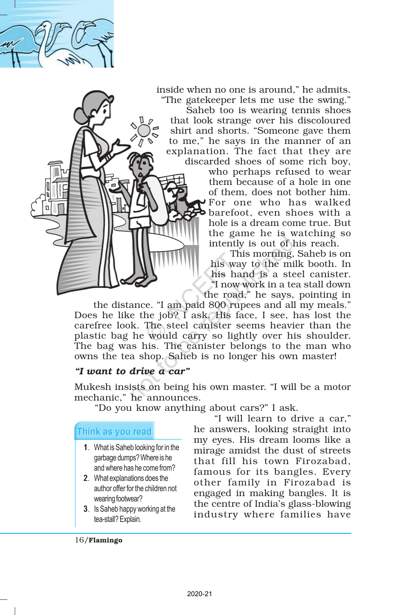

inside when no one is around," he admits. "The gatekeeper lets me use the swing."

Saheb too is wearing tennis shoes that look strange over his discoloured shirt and shorts. "Someone gave them to me," he says in the manner of an explanation. The fact that they are discarded shoes of some rich boy,

who perhaps refused to wear them because of a hole in one of them, does not bother him. For one who has walked barefoot, even shoes with a hole is a dream come true. But the game he is watching so intently is out of his reach.

This morning, Saheb is on his way to the milk booth. In his hand is a steel canister. "I now work in a tea stall down the road," he says, pointing in

the distance. "I am paid 800 rupees and all my meals." Does he like the job? I ask. His face, I see, has lost the carefree look. The steel canister seems heavier than the plastic bag he would carry so lightly over his shoulder. The bag was his. The canister belongs to the man who owns the tea shop. Saheb is no longer his own master! The Mercy Control of the Conduction of the Conduction of the Conduction of the Conduction of the Scheen of the Conduction of the Conduction of the Conduction of the Conduction of the Conduction of the Conduction of the Con intently is out of l<br>This morning,<br>his way to the mi<br>his hand is a ste<br>"I now work in a te<br>"I now work in a te<br>"I now work in a te<br>"I now work in a te<br>"I now work in a te<br>"I now work in a te<br>"I now work in a te<br>"I now work

## *"I want to drive a car"*

Mukesh insists on being his own master. "I will be a motor mechanic," he announces.

"Do you know anything about cars?" I ask.

- 1. What is Saheb looking for in the garbage dumps? Where is he and where has he come from?
- 2. What explanations does the author offer for the children not wearing footwear?
- 3. Is Saheb happy working at the tea-stall? Explain.

"I will learn to drive a car," he answers, looking straight into my eyes. His dream looms like a mirage amidst the dust of streets that fill his town Firozabad, famous for its bangles. Every other family in Firozabad is engaged in making bangles. It is the centre of India's glass-blowing industry where families have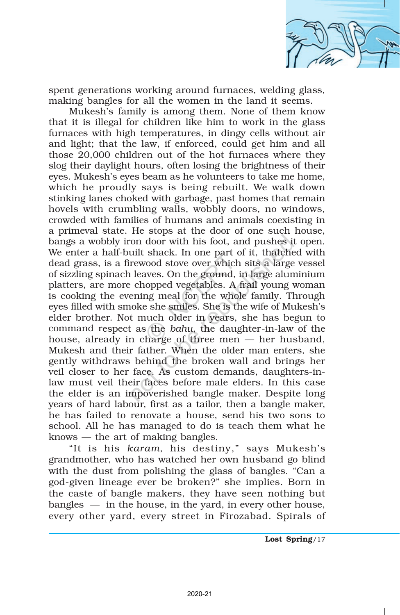

spent generations working around furnaces, welding glass, making bangles for all the women in the land it seems.

Mukesh's family is among them. None of them know that it is illegal for children like him to work in the glass furnaces with high temperatures, in dingy cells without air and light; that the law, if enforced, could get him and all those 20,000 children out of the hot furnaces where they slog their daylight hours, often losing the brightness of their eyes. Mukesh's eyes beam as he volunteers to take me home, which he proudly says is being rebuilt. We walk down stinking lanes choked with garbage, past homes that remain hovels with crumbling walls, wobbly doors, no windows, crowded with families of humans and animals coexisting in a primeval state. He stops at the door of one such house, bangs a wobbly iron door with his foot, and pushes it open. We enter a half-built shack. In one part of it, thatched with dead grass, is a firewood stove over which sits a large vessel of sizzling spinach leaves. On the ground, in large aluminium platters, are more chopped vegetables. A frail young woman is cooking the evening meal for the whole family. Through eyes filled with smoke she smiles. She is the wife of Mukesh's elder brother. Not much older in years, she has begun to command respect as the *bahu*, the daughter-in-law of the house, already in charge of three men — her husband, Mukesh and their father. When the older man enters, she gently withdraws behind the broken wall and brings her veil closer to her face. As custom demands, daughters-inlaw must veil their faces before male elders. In this case the elder is an impoverished bangle maker. Despite long years of hard labour, first as a tailor, then a bangle maker, he has failed to renovate a house, send his two sons to school. All he has managed to do is teach them what he knows — the art of making bangles. snack. In one part of coord stove over which<br>wes. On the ground, if opped vegetables. A f<br>ing meal for the whole<br>e she smiles. She is the whole<br>harge of three men<br>harge of three men<br>ther. When the older hind the broken wa<br> For door with his foot, and pushes if will shack. In one part of it, thatcher rewood stove over which sits a large alum and the republic serves. On the ground, in large alum and the proped vegetables. A frail young vening

"It is his *karam*, his destiny," says Mukesh's grandmother, who has watched her own husband go blind with the dust from polishing the glass of bangles. "Can a god-given lineage ever be broken?" she implies. Born in the caste of bangle makers, they have seen nothing but  $b$ angles  $-$  in the house, in the yard, in every other house, every other yard, every street in Firozabad. Spirals of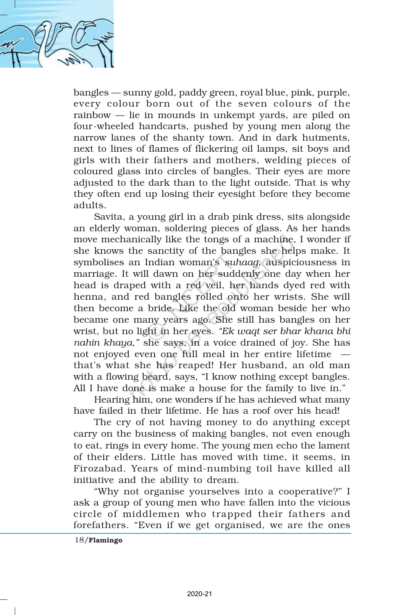

bangles — sunny gold, paddy green, royal blue, pink, purple, every colour born out of the seven colours of the rainbow — lie in mounds in unkempt yards, are piled on four-wheeled handcarts, pushed by young men along the narrow lanes of the shanty town. And in dark hutments, next to lines of flames of flickering oil lamps, sit boys and girls with their fathers and mothers, welding pieces of coloured glass into circles of bangles. Their eyes are more adjusted to the dark than to the light outside. That is why they often end up losing their eyesight before they become adults.

Savita, a young girl in a drab pink dress, sits alongside an elderly woman, soldering pieces of glass. As her hands move mechanically like the tongs of a machine, I wonder if she knows the sanctity of the bangles she helps make. It symbolises an Indian woman's *suhaag*, auspiciousness in marriage. It will dawn on her suddenly one day when her head is draped with a red veil, her hands dyed red with henna, and red bangles rolled onto her wrists. She will then become a bride. Like the old woman beside her who became one many years ago. She still has bangles on her wrist, but no light in her eyes. *"Ek waqt ser bhar khana bhi nahin khaya,"* she says, in a voice drained of joy. She has not enjoyed even one full meal in her entire lifetime that's what she has reaped! Her husband, an old man with a flowing beard, says, "I know nothing except bangles. All I have done is make a house for the family to live in." between the bang and the bang<br>
Indian woman's suh<br>
Il dawn on her sudde<br>
Il dawn on her sudde<br>
Il dawn on her sudde<br>
In divith a red veil, here<br>
or the bangles rolled ont<br>
bride. Like the old v<br>
any years ago. She s<br>
ght i unically like the tongs of a machine,<br>the sanctity of the bangles she hel<br>an Indian woman's *suhaag*, auspic<br>will dawn on her suddenly one da<br>ped with a red veil, her hands dy<br>red bangles rolled onto her wris<br>e a bride. L

Hearing him, one wonders if he has achieved what many have failed in their lifetime. He has a roof over his head!

The cry of not having money to do anything except carry on the business of making bangles, not even enough to eat, rings in every home. The young men echo the lament of their elders. Little has moved with time, it seems, in Firozabad. Years of mind-numbing toil have killed all initiative and the ability to dream.

"Why not organise yourselves into a cooperative?" I ask a group of young men who have fallen into the vicious circle of middlemen who trapped their fathers and forefathers. "Even if we get organised, we are the ones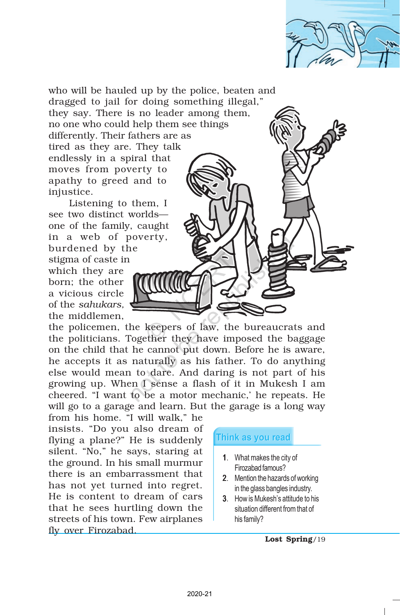

who will be hauled up by the police, beaten and dragged to jail for doing something illegal," they say. There is no leader among them, no one who could help them see things differently. Their fathers are as tired as they are. They talk endlessly in a spiral that moves from poverty to apathy to greed and to injustice.

Listening to them, I see two distinct worlds one of the family, caught in a web of poverty, burdened by the stigma of caste in which they are

born; the other a vicious circle of the *sahukars,* the middlemen,

the policemen, the keepers of law, the bureaucrats and the politicians. Together they have imposed the baggage on the child that he cannot put down. Before he is aware, he accepts it as naturally as his father. To do anything else would mean to dare. And daring is not part of his growing up. When I sense a flash of it in Mukesh I am cheered. "I want to be a motor mechanic,' he repeats. He will go to a garage and learn. But the garage is a long way Example 1<br>
Reepers of law, the<br>
ther they have important that<br>
turally as his father<br>
dare. And daring i<br>
I sense a flash of it<br>
be a motor mechanic<br>
ind learn. But the gan<br>
ill walk," he<br>
so dream of<br>
is suddenly<br>
s, star Noverty,<br>
The Reepers of law, the bureaucrate of the base of law, the bureaucrate of the base of law, the bureaucrate of the base of the base of the base of the state of the state of the state of the state of the state of

from his home. "I will walk," he insists. "Do you also dream of flying a plane?" He is suddenly silent. "No," he says, staring at the ground. In his small murmur there is an embarrassment that has not yet turned into regret. He is content to dream of cars that he sees hurtling down the streets of his town. Few airplanes fly over Firozabad.

- 1. What makes the city of Firozabad famous?
- 2. Mention the hazards of working in the glass bangles industry.
- 3. How is Mukesh's attitude to his situation different from that of his family?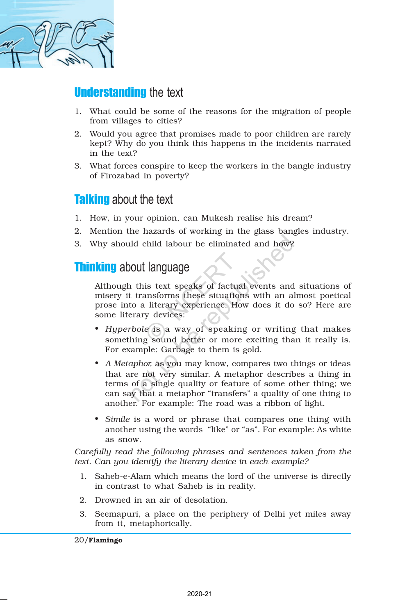

## **Understanding the text**

- 1. What could be some of the reasons for the migration of people from villages to cities?
- 2. Would you agree that promises made to poor children are rarely kept? Why do you think this happens in the incidents narrated in the text?
- 3. What forces conspire to keep the workers in the bangle industry of Firozabad in poverty?

## **Talking** about the text

- 1. How, in your opinion, can Mukesh realise his dream?
- 2. Mention the hazards of working in the glass bangles industry.
- 3. Why should child labour be eliminated and how?

## **Thinking about language**

Although this text speaks of factual events and situations of misery it transforms these situations with an almost poetical prose into a literary experience. How does it do so? Here are some literary devices:

- *Hyperbole* is a way of speaking or writing that makes something sound better or more exciting than it really is. For example: Garbage to them is gold.
- *A Metaphor,* as you may know, compares two things or ideas that are not very similar. A metaphor describes a thing in terms of a single quality or feature of some other thing; we can say that a metaphor "transfers" a quality of one thing to another. For example: The road was a ribbon of light. 2020-21<br>
2020-21<br>
2020-21<br>
2020-21<br>
2020-21<br>
2020-21<br>
2020-21<br>
2020-21<br>
2020-21<br>
2020-21<br>
2020-21<br>
2020-21<br>
2020-21<br>
2020-21<br>
2020-21<br>
2020-21<br>
2020-21<br>
2020-21<br>
2020-21<br>
2020-21<br>
2020-21<br>
2020-21<br>
2020-21 not the diminated and how?<br>
not diminated and how?<br>
not diminated and how?<br>
not diminated and how?<br>
not diminated and how?<br>
the transforms these situations with an all<br>
to a literary experience. How does it do<br>
erary devic
- *Simile* is a word or phrase that compares one thing with another using the words "like" or "as". For example: As white as snow.

*Carefully read the following phrases and sentences taken from the text. Can you identify the literary device in each example?*

- 1. Saheb-e-Alam which means the lord of the universe is directly in contrast to what Saheb is in reality.
- 2. Drowned in an air of desolation.
- 3. Seemapuri, a place on the periphery of Delhi yet miles away from it, metaphorically.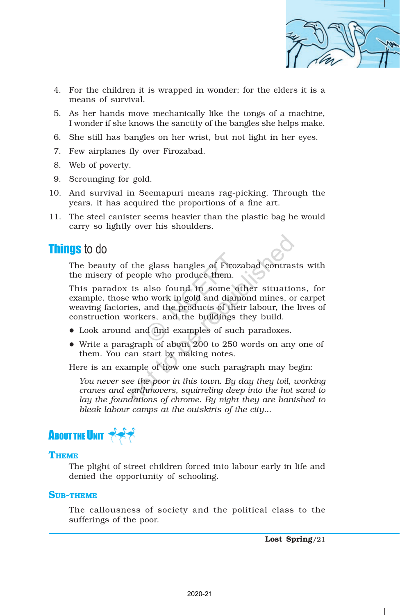

- 4. For the children it is wrapped in wonder; for the elders it is a means of survival.
- 5. As her hands move mechanically like the tongs of a machine, I wonder if she knows the sanctity of the bangles she helps make.
- 6. She still has bangles on her wrist, but not light in her eyes.
- 7. Few airplanes fly over Firozabad.
- 8. Web of poverty.
- 9. Scrounging for gold.
- 10. And survival in Seemapuri means rag-picking. Through the years, it has acquired the proportions of a fine art.
- 11. The steel canister seems heavier than the plastic bag he would carry so lightly over his shoulders.

## Things to do

The beauty of the glass bangles of Firozabad contrasts with the misery of people who produce them.

This paradox is also found in some other situations, for example, those who work in gold and diamond mines, or carpet weaving factories, and the products of their labour, the lives of construction workers, and the buildings they build. e glass bangles of Firozi<br>
le who produce them.<br>
also found in some ot<br>
o work in gold and diam<br>
and the products of theirs, and the buildings t<br>
d find examples of such<br>
ph of about 200 to 250 v<br>
start by making notes.<br>
e the glass bangles of Firozabad contras<br>beople who produce them.<br>is also found in some other situatio<br>who work in gold and diamond mines, on<br>es, and the products of their labour, the<br>orkers, and the buildings they build.<br>I

- $\bullet$  Look around and find examples of such paradoxes.
- Write a paragraph of about 200 to 250 words on any one of them. You can start by making notes.

Here is an example of how one such paragraph may begin:

*You never see the poor in this town. By day they toil, working cranes and earthmovers, squirreling deep into the hot sand to lay the foundations of chrome. By night they are banished to bleak labour camps at the outskirts of the city...*



#### **THEME**

The plight of street children forced into labour early in life and denied the opportunity of schooling.

#### SUB-THEME

The callousness of society and the political class to the sufferings of the poor.